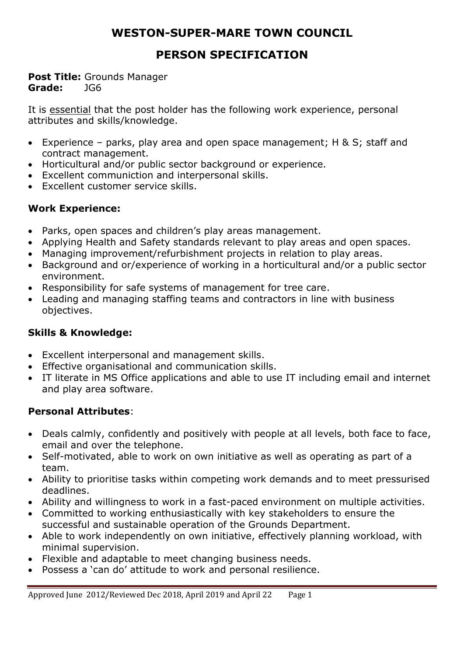# **WESTON-SUPER-MARE TOWN COUNCIL**

# **PERSON SPECIFICATION**

#### **Post Title:** Grounds Manager **Grade:** JG6

It is essential that the post holder has the following work experience, personal attributes and skills/knowledge.

- Experience parks, play area and open space management; H & S; staff and contract management.
- Horticultural and/or public sector background or experience.
- Excellent communiction and interpersonal skills.
- Excellent customer service skills.

## **Work Experience:**

- Parks, open spaces and children's play areas management.
- Applying Health and Safety standards relevant to play areas and open spaces.
- Managing improvement/refurbishment projects in relation to play areas.
- Background and or/experience of working in a horticultural and/or a public sector environment.
- Responsibility for safe systems of management for tree care.
- Leading and managing staffing teams and contractors in line with business objectives.

# **Skills & Knowledge:**

- Excellent interpersonal and management skills.
- Effective organisational and communication skills.
- IT literate in MS Office applications and able to use IT including email and internet and play area software.

# **Personal Attributes**:

- Deals calmly, confidently and positively with people at all levels, both face to face, email and over the telephone.
- Self-motivated, able to work on own initiative as well as operating as part of a team.
- Ability to prioritise tasks within competing work demands and to meet pressurised deadlines.
- Ability and willingness to work in a fast-paced environment on multiple activities.
- Committed to working enthusiastically with key stakeholders to ensure the successful and sustainable operation of the Grounds Department.
- Able to work independently on own initiative, effectively planning workload, with minimal supervision.
- Flexible and adaptable to meet changing business needs.
- Possess a 'can do' attitude to work and personal resilience.